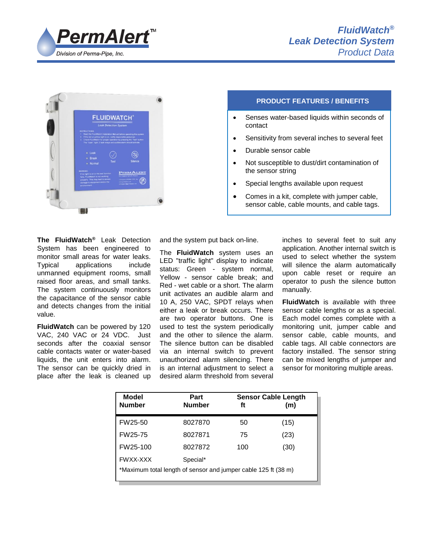



# **PRODUCT FEATURES / BENEFITS**

- Senses water-based liquids within seconds of contact
- Sensitivity from several inches to several feet
- Durable sensor cable
- Not susceptible to dust/dirt contamination of the sensor string
- Special lengths available upon request
- Comes in a kit, complete with jumper cable, sensor cable, cable mounts, and cable tags.

**The FluidWatch®** Leak Detection System has been engineered to monitor small areas for water leaks. Typical applications include unmanned equipment rooms, small raised floor areas, and small tanks. The system continuously monitors the capacitance of the sensor cable and detects changes from the initial value.

**FluidWatch** can be powered by 120 VAC, 240 VAC or 24 VDC. Just seconds after the coaxial sensor cable contacts water or water-based liquids, the unit enters into alarm. The sensor can be quickly dried in place after the leak is cleaned up

and the system put back on-line.

The **FluidWatch** system uses an LED "traffic light" display to indicate status: Green - system normal, Yellow - sensor cable break; and Red - wet cable or a short. The alarm unit activates an audible alarm and 10 A, 250 VAC, SPDT relays when either a leak or break occurs. There are two operator buttons. One is used to test the system periodically and the other to silence the alarm. The silence button can be disabled via an internal switch to prevent unauthorized alarm silencing. There is an internal adjustment to select a desired alarm threshold from several inches to several feet to suit any application. Another internal switch is used to select whether the system will silence the alarm automatically upon cable reset or require an operator to push the silence button manually.

**FluidWatch** is available with three sensor cable lengths or as a special. Each model comes complete with a monitoring unit, jumper cable and sensor cable, cable mounts, and cable tags. All cable connectors are factory installed. The sensor string can be mixed lengths of jumper and sensor for monitoring multiple areas.

| Model<br><b>Number</b>                                         | Part<br><b>Number</b> | <b>Sensor Cable Length</b><br>ft | (m)  |
|----------------------------------------------------------------|-----------------------|----------------------------------|------|
| FW25-50                                                        | 8027870               | 50                               | (15) |
| FW25-75                                                        | 8027871               | 75                               | (23) |
| FW25-100                                                       | 8027872               | 100                              | (30) |
| <b>FWXX-XXX</b>                                                | Special*              |                                  |      |
| *Maximum total length of sensor and jumper cable 125 ft (38 m) |                       |                                  |      |